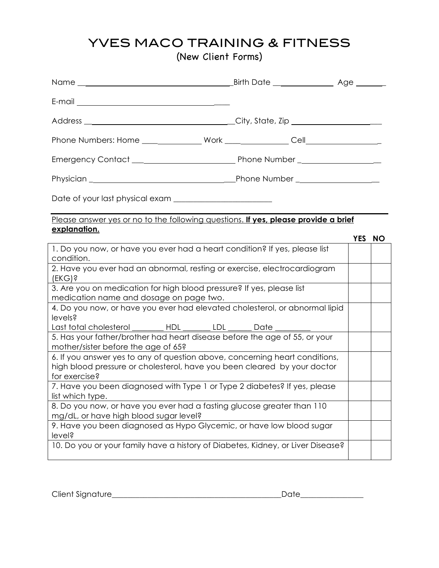(New Client Forms)

| Name with the contract of the contract of the contract of the contract of the contract of the contract of the contract of the contract of the contract of the contract of the contract of the contract of the contract of the | Birth Date Reserve Lange |  |        |  |
|-------------------------------------------------------------------------------------------------------------------------------------------------------------------------------------------------------------------------------|--------------------------|--|--------|--|
|                                                                                                                                                                                                                               |                          |  |        |  |
|                                                                                                                                                                                                                               |                          |  |        |  |
| Phone Numbers: Home _________________ Work _________________ Cell ______________                                                                                                                                              |                          |  |        |  |
|                                                                                                                                                                                                                               |                          |  |        |  |
|                                                                                                                                                                                                                               |                          |  |        |  |
|                                                                                                                                                                                                                               |                          |  |        |  |
| Please answer yes or no to the following questions. If yes, please provide a brief<br>explanation.                                                                                                                            |                          |  |        |  |
|                                                                                                                                                                                                                               |                          |  | YES NO |  |
| 1. Do you now, or have you ever had a heart condition? If yes, please list<br>condition.                                                                                                                                      |                          |  |        |  |
| 2. Have you ever had an abnormal, resting or exercise, electrocardiogram<br>$(EKG)$ ?                                                                                                                                         |                          |  |        |  |
| 3. Are you on medication for high blood pressure? If yes, please list<br>medication name and dosage on page two.                                                                                                              |                          |  |        |  |
| 4. Do you now, or have you ever had elevated cholesterol, or abnormal lipid<br>levels?                                                                                                                                        |                          |  |        |  |
| Last total cholesterol _________ HDL _______ LDL _______ Date _________                                                                                                                                                       |                          |  |        |  |
| 5. Has your father/brother had heart disease before the age of 55, or your<br>mother/sister before the age of 65?                                                                                                             |                          |  |        |  |
| 6. If you answer yes to any of question above, concerning heart conditions,<br>high blood pressure or cholesterol, have you been cleared by your doctor<br>for exercise?                                                      |                          |  |        |  |
| 7. Have you been diagnosed with Type 1 or Type 2 diabetes? If yes, please<br>list which type.                                                                                                                                 |                          |  |        |  |
| 8. Do you now, or have you ever had a fasting glucose greater than 110<br>mg/dL, or have high blood sugar level?                                                                                                              |                          |  |        |  |
| 9. Have you been diagnosed as Hypo Glycemic, or have low blood sugar<br>level?                                                                                                                                                |                          |  |        |  |
| 10. Do you or your family have a history of Diabetes, Kidney, or Liver Disease?                                                                                                                                               |                          |  |        |  |

Client Signature\_\_\_\_\_\_\_\_\_\_\_\_\_\_\_\_\_\_\_\_\_\_\_\_\_\_\_\_\_\_\_\_\_\_\_\_\_\_\_\_\_\_\_Date\_\_\_\_\_\_\_\_\_\_\_\_\_\_\_\_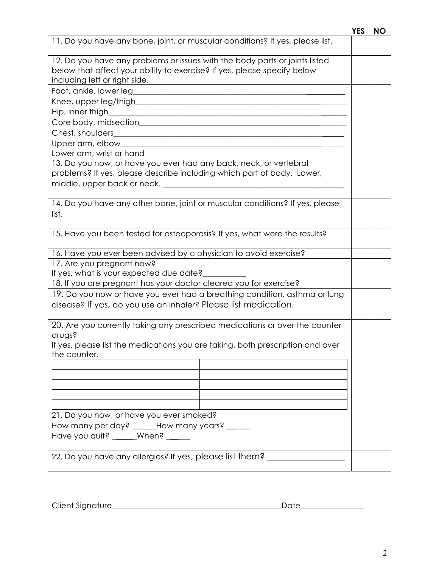|                                                                                                | <b>YES</b> | <b>NO</b> |
|------------------------------------------------------------------------------------------------|------------|-----------|
| 11. Do you have any bone, joint, or muscular conditions? If yes, please list.                  |            |           |
| 12. Do you have any problems or issues with the body parts or joints listed                    |            |           |
| below that affect your ability to exercise? If yes, please specify below                       |            |           |
| including left or right side.                                                                  |            |           |
|                                                                                                |            |           |
|                                                                                                |            |           |
|                                                                                                |            |           |
|                                                                                                |            |           |
|                                                                                                |            |           |
|                                                                                                |            |           |
| Lower arm, wrist or hand                                                                       |            |           |
| 13. Do you now, or have you ever had any back, neck, or vertebral                              |            |           |
| problems? If yes, please describe including which part of body. Lower,                         |            |           |
|                                                                                                |            |           |
|                                                                                                |            |           |
| 14. Do you have any other bone, joint or muscular conditions? If yes, please                   |            |           |
| list.                                                                                          |            |           |
| 15. Have you been tested for osteoporosis? If yes, what were the results?                      |            |           |
|                                                                                                |            |           |
| 16. Have you ever been advised by a physician to avoid exercise?                               |            |           |
| 17. Are you pregnant now?                                                                      |            |           |
| If yes, what is your expected due date?                                                        |            |           |
| 18. If you are pregnant has your doctor cleared you for exercise?                              |            |           |
| 19. Do you now or have you ever had a breathing condition, asthma or lung                      |            |           |
| disease? If yes, do you use an inhaler? Please list medication.                                |            |           |
|                                                                                                |            |           |
| 20. Are you currently taking any prescribed medications or over the counter                    |            |           |
| drugs?                                                                                         |            |           |
| If yes, please list the medications you are taking, both prescription and over<br>the counter. |            |           |
|                                                                                                |            |           |
|                                                                                                |            |           |
|                                                                                                |            |           |
|                                                                                                |            |           |
|                                                                                                |            |           |
| 21. Do you now, or have you ever smoked?                                                       |            |           |
| How many per day? _____How many years? ______                                                  |            |           |
| Have you quit? _____When? _____                                                                |            |           |
|                                                                                                |            |           |
| 22. Do you have any allergies? If yes, please list them?                                       |            |           |
|                                                                                                |            |           |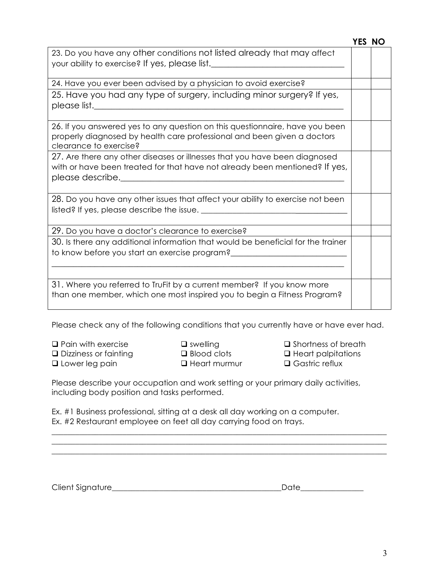|                                                                                                                                                                                                                                                                                                                                                                                            | YES NO |
|--------------------------------------------------------------------------------------------------------------------------------------------------------------------------------------------------------------------------------------------------------------------------------------------------------------------------------------------------------------------------------------------|--------|
| 23. Do you have any other conditions not listed already that may affect                                                                                                                                                                                                                                                                                                                    |        |
| your ability to exercise? If yes, please list. <u>Consequence</u> is the series of the series of the series of the series of the series of the series of the series of the series of the series of the series of the series of the                                                                                                                                                         |        |
| 24. Have you ever been advised by a physician to avoid exercise?                                                                                                                                                                                                                                                                                                                           |        |
| 25. Have you had any type of surgery, including minor surgery? If yes,<br>please list. $\rule{1em}{0.15mm}$<br><u> 1989 - Johann John Stone, markin fan it fjort fan de ferstjer fan it fjort fan de ferstjer fan it fjort fan </u>                                                                                                                                                        |        |
| 26. If you answered yes to any question on this questionnaire, have you been<br>properly diagnosed by health care professional and been given a doctors<br>clearance to exercise?                                                                                                                                                                                                          |        |
| 27. Are there any other diseases or illnesses that you have been diagnosed<br>with or have been treated for that have not already been mentioned? If yes,<br>please describe. The contract of the contract of the contract of the contract of the contract of the contract of the contract of the contract of the contract of the contract of the contract of the contract of the contract |        |
| 28. Do you have any other issues that affect your ability to exercise not been                                                                                                                                                                                                                                                                                                             |        |
| 29. Do you have a doctor's clearance to exercise?                                                                                                                                                                                                                                                                                                                                          |        |
| 30. Is there any additional information that would be beneficial for the trainer<br>to know before you start an exercise program?__                                                                                                                                                                                                                                                        |        |
| 31. Where you referred to TruFit by a current member? If you know more<br>than one member, which one most inspired you to begin a Fitness Program?                                                                                                                                                                                                                                         |        |

Please check any of the following conditions that you currently have or have ever had.

 $\square$  Pain with exercise  $\square$  swelling  $\square$  Shortness of breath  $\square$  Dizziness or fainting  $\square$  Blood clots  $\square$  Heart palpitations **Q** Lower leg pain **COMP CONTEX CONTEX CONTEX CONTEX CONTEX CONTEX CONTEX CONTEX CONTEX CONTEX CONTEX CONTEX CONTEX CONTEX CONTEX CONTEX CONTEX CONTEX CONTEX CONTEX CONTEX CONTEX CONTEX CONTEX CONTEX CONTEX CONTEX CONTEX C** 

Please describe your occupation and work setting or your primary daily activities, including body position and tasks performed.

 $\_$  ,  $\_$  ,  $\_$  ,  $\_$  ,  $\_$  ,  $\_$  ,  $\_$  ,  $\_$  ,  $\_$  ,  $\_$  ,  $\_$  ,  $\_$  ,  $\_$  ,  $\_$  ,  $\_$  ,  $\_$  ,  $\_$  ,  $\_$  ,  $\_$  ,  $\_$  ,  $\_$  ,  $\_$  ,  $\_$  ,  $\_$  ,  $\_$  ,  $\_$  ,  $\_$  ,  $\_$  ,  $\_$  ,  $\_$  ,  $\_$  ,  $\_$  ,  $\_$  ,  $\_$  ,  $\_$  ,  $\_$  ,  $\_$  ,

\_\_\_\_\_\_\_\_\_\_\_\_\_\_\_\_\_\_\_\_\_\_\_\_\_\_\_\_\_\_\_\_\_\_\_\_\_\_\_\_\_\_\_\_\_\_\_\_\_\_\_\_\_\_\_\_\_\_\_\_\_\_\_\_\_\_\_\_\_\_\_\_\_\_\_\_\_\_\_\_\_\_\_\_\_

Ex. #1 Business professional, sitting at a desk all day working on a computer. Ex. #2 Restaurant employee on feet all day carrying food on trays.

| $\sim$ ture<br>$\sim$<br>Client<br><b>SIAP</b><br>UIC<br>. | _ |
|------------------------------------------------------------|---|
|                                                            |   |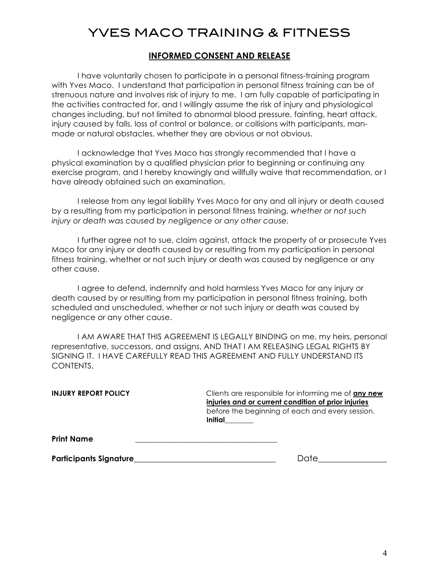#### **INFORMED CONSENT AND RELEASE**

I have voluntarily chosen to participate in a personal fitness-training program with Yves Maco. I understand that participation in personal fitness training can be of strenuous nature and involves risk of injury to me. I am fully capable of participating in the activities contracted for, and I willingly assume the risk of injury and physiological changes including, but not limited to abnormal blood pressure, fainting, heart attack, injury caused by falls, loss of control or balance, or collisions with participants, manmade or natural obstacles, whether they are obvious or not obvious.

I acknowledge that Yves Maco has strongly recommended that I have a physical examination by a qualified physician prior to beginning or continuing any exercise program, and I hereby knowingly and willfully waive that recommendation, or I have already obtained such an examination.

I release from any legal liability Yves Maco for any and all injury or death caused by a resulting from my participation in personal fitness training, *whether or not such injury or death was caused by negligence or any other cause.*

I further agree not to sue, claim against, attack the property of or prosecute Yves Maco for any injury or death caused by or resulting from my participation in personal fitness training, whether or not such injury or death was caused by negligence or any other cause.

I agree to defend, indemnify and hold harmless Yves Maco for any injury or death caused by or resulting from my participation in personal fitness training, both scheduled and unscheduled, whether or not such injury or death was caused by negligence or any other cause.

I AM AWARE THAT THIS AGREEMENT IS LEGALLY BINDING on me, my heirs, personal representative, successors, and assigns, AND THAT I AM RELEASING LEGAL RIGHTS BY SIGNING IT. I HAVE CAREFULLY READ THIS AGREEMENT AND FULLY UNDERSTAND ITS CONTENTS.

**INJURY REPORT POLICY** Clients are responsible for informing me of **any new injuries and or current condition of prior injuries** before the beginning of each and every session. **Initial\_\_\_\_\_\_\_\_**

**Print Name \_\_\_\_\_\_\_\_\_\_\_\_\_\_\_\_\_\_\_\_\_\_\_\_\_\_\_\_\_\_\_\_\_\_\_\_**

**Participants Signature**\_\_\_\_\_\_\_\_\_\_\_\_\_\_\_\_\_\_\_\_\_\_\_\_\_\_\_\_\_\_\_\_\_ Date\_\_\_\_\_\_\_\_\_\_\_\_\_\_\_\_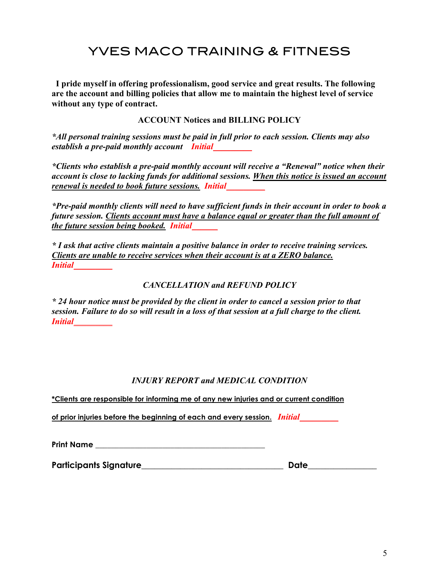**I pride myself in offering professionalism, good service and great results. The following are the account and billing policies that allow me to maintain the highest level of service without any type of contract.**

**ACCOUNT Notices and BILLING POLICY**

*\*All personal training sessions must be paid in full prior to each session. Clients may also establish a pre-paid monthly account Initial\_\_\_\_\_\_\_\_\_*

*\*Clients who establish a pre-paid monthly account will receive a "Renewal" notice when their account is close to lacking funds for additional sessions. When this notice is issued an account renewal is needed to book future sessions. Initial\_\_\_\_\_\_\_\_\_*

*\*Pre-paid monthly clients will need to have sufficient funds in their account in order to book a future session. Clients account must have a balance equal or greater than the full amount of the future session being booked. Initial\_\_\_\_\_\_*

*\* I ask that active clients maintain a positive balance in order to receive training services. Clients are unable to receive services when their account is at a ZERO balance. Initial\_\_\_\_\_\_\_\_\_*

#### *CANCELLATION and REFUND POLICY*

*\* 24 hour notice must be provided by the client in order to cancel a session prior to that session. Failure to do so will result in a loss of that session at a full charge to the client. Initial\_\_\_\_\_\_\_\_\_*

#### *INJURY REPORT and MEDICAL CONDITION*

**\*Clients are responsible for informing me of any new injuries and or current condition** 

**of prior injuries before the beginning of each and every session.** *Initial\_\_\_\_\_\_\_\_\_*

**Print Name \_\_\_\_\_\_\_\_\_\_\_\_\_\_\_\_\_\_\_\_\_\_\_\_\_\_\_\_\_\_\_\_\_\_\_\_\_\_\_\_\_\_\_**

**Participants Signature**\_\_\_\_\_\_\_\_\_\_\_\_\_\_\_\_\_\_\_\_\_\_\_\_\_\_\_\_\_\_\_\_\_ **Date\_\_\_\_\_\_\_\_\_\_\_\_\_\_\_\_**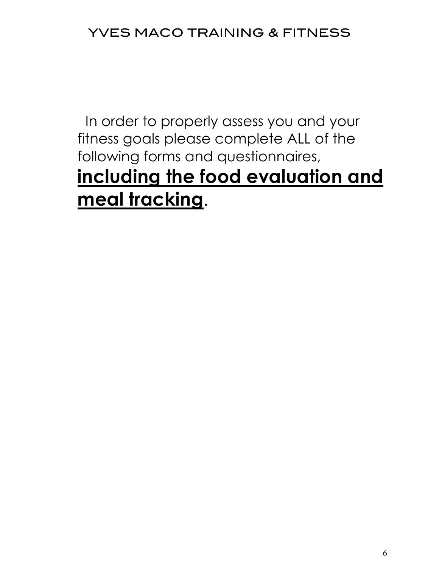In order to properly assess you and your fitness goals please complete ALL of the following forms and questionnaires, **including the food evaluation and meal tracking**.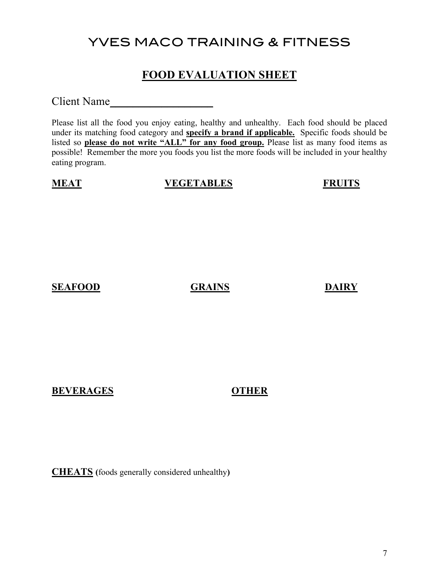## **FOOD EVALUATION SHEET**

Client Name

Please list all the food you enjoy eating, healthy and unhealthy. Each food should be placed under its matching food category and **specify a brand if applicable.** Specific foods should be listed so **please do not write "ALL" for any food group.** Please list as many food items as possible! Remember the more you foods you list the more foods will be included in your healthy eating program.

## **MEAT VEGETABLES FRUITS**

### **SEAFOOD GRAINS DAIRY**

### **BEVERAGES OTHER**

**CHEATS (**foods generally considered unhealthy**)**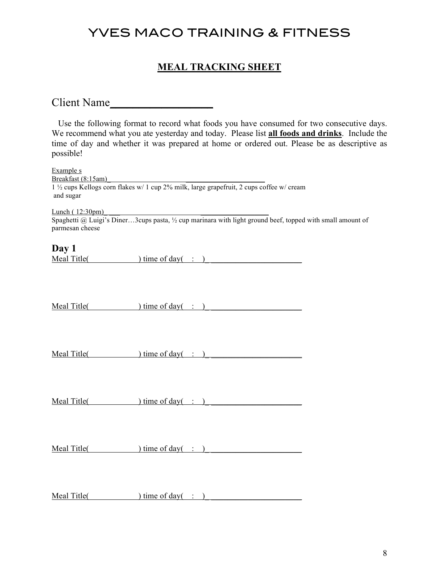## **MEAL TRACKING SHEET**

Client Name

| possible!                                    |                                                                                                                                                                                                                                                                                                                                      | Use the following format to record what foods you have consumed for two consecutive days.<br>We recommend what you ate yesterday and today. Please list all foods and drinks. Include the<br>time of day and whether it was prepared at home or ordered out. Please be as descriptive as |  |
|----------------------------------------------|--------------------------------------------------------------------------------------------------------------------------------------------------------------------------------------------------------------------------------------------------------------------------------------------------------------------------------------|------------------------------------------------------------------------------------------------------------------------------------------------------------------------------------------------------------------------------------------------------------------------------------------|--|
| Example s<br>Breakfast (8:15am)<br>and sugar | Breakfast (8:15am)<br>1 1/2 cups Kellogs corn flakes w/ 1 cup 2% milk, large grapefruit, 2 cups coffee w/ cream                                                                                                                                                                                                                      |                                                                                                                                                                                                                                                                                          |  |
| Lunch(12:30pm)<br>parmesan cheese            |                                                                                                                                                                                                                                                                                                                                      | <u>Lunch (12:30pm)</u><br>Spaghetti @ Luigi's Diner3cups pasta, $\frac{1}{2}$ cup marinara with light ground beef, topped with small amount of                                                                                                                                           |  |
| Day 1                                        | Meal Title( ) time of day( : )                                                                                                                                                                                                                                                                                                       |                                                                                                                                                                                                                                                                                          |  |
|                                              | $Mean Title (time of day (time of day (time of day (time of day (time of day (time of day (time of day (time of day (time of day (time of day (time of day (time of day (time of day (time of day (time of day (time of day (time of day (time of day (time of day (time of day (time of day (time of day (time of day (time of day$ |                                                                                                                                                                                                                                                                                          |  |
|                                              | Meal Title( $\qquad$ ) time of day( : )                                                                                                                                                                                                                                                                                              |                                                                                                                                                                                                                                                                                          |  |
|                                              | $Mean Title$ ( <i>i</i> me of day( $\therefore$ )                                                                                                                                                                                                                                                                                    |                                                                                                                                                                                                                                                                                          |  |
|                                              | $Mean Title$ ( <i>IIIIe(</i> ) time of day( $\therefore$ )                                                                                                                                                                                                                                                                           |                                                                                                                                                                                                                                                                                          |  |
|                                              |                                                                                                                                                                                                                                                                                                                                      |                                                                                                                                                                                                                                                                                          |  |

 $Med Title($   $)$  time of day( : )</u>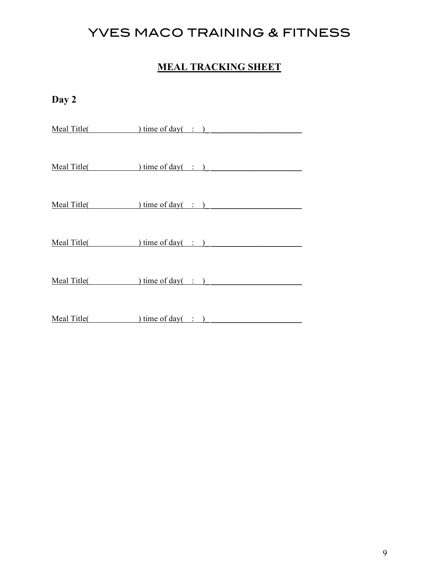## **MEAL TRACKING SHEET**

**Day 2**

Meal Title( ) time of day( : )

Meal Title( ) time of day( : )

Meal Title( ) time of day( : )

Meal Title( ) time of day( : )

Meal Title( ) time of day( : )

Meal Title( ) time of day( : )